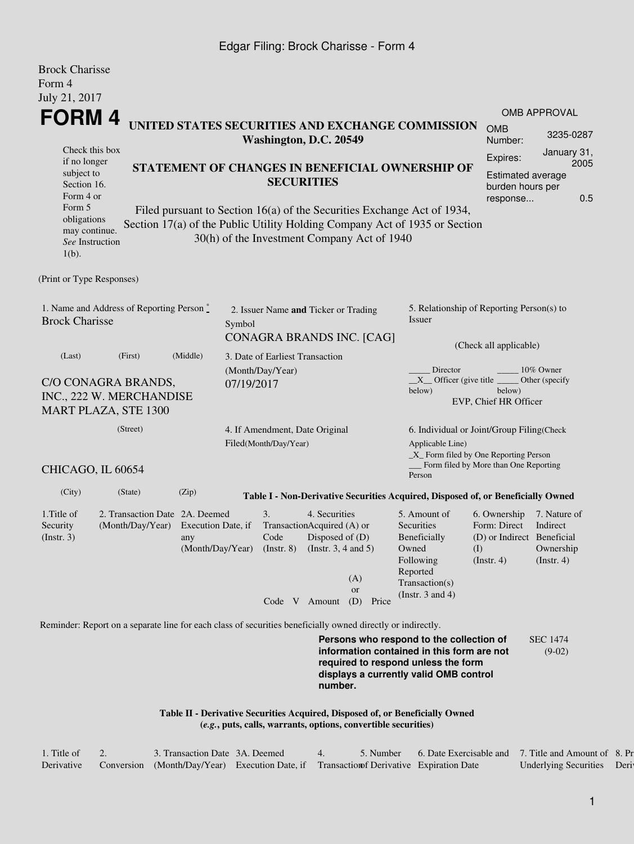## Edgar Filing: Brock Charisse - Form 4

| <b>Brock Charisse</b><br>Form 4                                                                                                                                                                     |                                                                                                             |                                      |            |                                                               |                                                                                                                                                  |                                                                |                                                                                                                                                                         |                                                                                       |                                                           |  |  |
|-----------------------------------------------------------------------------------------------------------------------------------------------------------------------------------------------------|-------------------------------------------------------------------------------------------------------------|--------------------------------------|------------|---------------------------------------------------------------|--------------------------------------------------------------------------------------------------------------------------------------------------|----------------------------------------------------------------|-------------------------------------------------------------------------------------------------------------------------------------------------------------------------|---------------------------------------------------------------------------------------|-----------------------------------------------------------|--|--|
| July 21, 2017                                                                                                                                                                                       |                                                                                                             |                                      |            |                                                               |                                                                                                                                                  |                                                                |                                                                                                                                                                         |                                                                                       |                                                           |  |  |
| FORM 4                                                                                                                                                                                              |                                                                                                             |                                      |            |                                                               |                                                                                                                                                  |                                                                | UNITED STATES SECURITIES AND EXCHANGE COMMISSION                                                                                                                        |                                                                                       | <b>OMB APPROVAL</b>                                       |  |  |
|                                                                                                                                                                                                     |                                                                                                             |                                      |            | Washington, D.C. 20549                                        |                                                                                                                                                  |                                                                |                                                                                                                                                                         | <b>OMB</b><br>Number:                                                                 | 3235-0287                                                 |  |  |
| Check this box<br>if no longer                                                                                                                                                                      |                                                                                                             |                                      |            |                                                               |                                                                                                                                                  |                                                                |                                                                                                                                                                         |                                                                                       | January 31,<br>2005                                       |  |  |
| STATEMENT OF CHANGES IN BENEFICIAL OWNERSHIP OF<br>subject to<br><b>SECURITIES</b><br>Section 16.<br>Form 4 or<br>Form 5<br>Filed pursuant to Section 16(a) of the Securities Exchange Act of 1934, |                                                                                                             |                                      |            |                                                               |                                                                                                                                                  |                                                                |                                                                                                                                                                         |                                                                                       | Estimated average<br>burden hours per<br>0.5<br>response  |  |  |
| obligations<br>may continue.<br>See Instruction<br>$1(b)$ .                                                                                                                                         |                                                                                                             |                                      |            |                                                               |                                                                                                                                                  | 30(h) of the Investment Company Act of 1940                    | Section 17(a) of the Public Utility Holding Company Act of 1935 or Section                                                                                              |                                                                                       |                                                           |  |  |
| (Print or Type Responses)                                                                                                                                                                           |                                                                                                             |                                      |            |                                                               |                                                                                                                                                  |                                                                |                                                                                                                                                                         |                                                                                       |                                                           |  |  |
| 1. Name and Address of Reporting Person $\stackrel{*}{\mathbb{L}}$<br><b>Brock Charisse</b>                                                                                                         | Symbol                                                                                                      | 2. Issuer Name and Ticker or Trading |            |                                                               | 5. Relationship of Reporting Person(s) to<br>Issuer                                                                                              |                                                                |                                                                                                                                                                         |                                                                                       |                                                           |  |  |
|                                                                                                                                                                                                     |                                                                                                             |                                      |            |                                                               |                                                                                                                                                  | CONAGRA BRANDS INC. [CAG]                                      |                                                                                                                                                                         | (Check all applicable)                                                                |                                                           |  |  |
| (Last)                                                                                                                                                                                              | (First)                                                                                                     | (Middle)                             |            | 3. Date of Earliest Transaction<br>(Month/Day/Year)           |                                                                                                                                                  |                                                                | Director<br>10% Owner                                                                                                                                                   |                                                                                       |                                                           |  |  |
|                                                                                                                                                                                                     | C/O CONAGRA BRANDS,<br>INC., 222 W. MERCHANDISE<br><b>MART PLAZA, STE 1300</b>                              |                                      | 07/19/2017 |                                                               |                                                                                                                                                  |                                                                | $X$ Officer (give title $\overline{\phantom{a}}$<br>below)                                                                                                              | below)<br>EVP, Chief HR Officer                                                       | Other (specify)                                           |  |  |
|                                                                                                                                                                                                     | 4. If Amendment, Date Original<br>Filed(Month/Day/Year)                                                     |                                      |            |                                                               | 6. Individual or Joint/Group Filing(Check<br>Applicable Line)<br>_X_ Form filed by One Reporting Person<br>Form filed by More than One Reporting |                                                                |                                                                                                                                                                         |                                                                                       |                                                           |  |  |
| CHICAGO, IL 60654                                                                                                                                                                                   |                                                                                                             |                                      |            |                                                               |                                                                                                                                                  |                                                                | Person                                                                                                                                                                  |                                                                                       |                                                           |  |  |
| (City)                                                                                                                                                                                              | (State)                                                                                                     | (Zip)                                |            |                                                               |                                                                                                                                                  |                                                                | Table I - Non-Derivative Securities Acquired, Disposed of, or Beneficially Owned                                                                                        |                                                                                       |                                                           |  |  |
| 1. Title of<br>Security<br>(Insert. 3)                                                                                                                                                              | 2. Transaction Date 2A. Deemed<br>(Month/Day/Year) Execution Date, if                                       | any                                  |            | 3.<br>Code<br>(Month/Day/Year) (Instr. 8) (Instr. 3, 4 and 5) | 4. Securities<br>TransactionAcquired (A) or<br>Disposed of $(D)$                                                                                 | (A)                                                            | 5. Amount of<br>Securities<br>Beneficially<br>Owned<br>Following<br>Reported<br>Transaction(s)                                                                          | 6. Ownership<br>Form: Direct<br>(D) or Indirect Beneficial<br>(I)<br>$($ Instr. 4 $)$ | 7. Nature of<br>Indirect<br>Ownership<br>$($ Instr. 4 $)$ |  |  |
|                                                                                                                                                                                                     |                                                                                                             |                                      |            |                                                               | Code V Amount                                                                                                                                    | or<br>(D) Price                                                | (Instr. $3$ and $4$ )                                                                                                                                                   |                                                                                       |                                                           |  |  |
|                                                                                                                                                                                                     | Reminder: Report on a separate line for each class of securities beneficially owned directly or indirectly. |                                      |            |                                                               |                                                                                                                                                  |                                                                |                                                                                                                                                                         |                                                                                       |                                                           |  |  |
|                                                                                                                                                                                                     |                                                                                                             |                                      |            |                                                               | number.                                                                                                                                          |                                                                | Persons who respond to the collection of<br>information contained in this form are not<br>required to respond unless the form<br>displays a currently valid OMB control |                                                                                       | <b>SEC 1474</b><br>$(9-02)$                               |  |  |
|                                                                                                                                                                                                     |                                                                                                             |                                      |            |                                                               |                                                                                                                                                  | (e.g., puts, calls, warrants, options, convertible securities) | Table II - Derivative Securities Acquired, Disposed of, or Beneficially Owned                                                                                           |                                                                                       |                                                           |  |  |

| 1. Title of | 3. Transaction Date 3A. Deemed                                                        |  | 5. Number 6. Date Exercisable and 7. Title and Amount of 8. Pr |                       |       |
|-------------|---------------------------------------------------------------------------------------|--|----------------------------------------------------------------|-----------------------|-------|
| Derivative  | Conversion (Month/Day/Year) Execution Date, if Transaction Derivative Expiration Date |  |                                                                | Underlying Securities | Deriv |